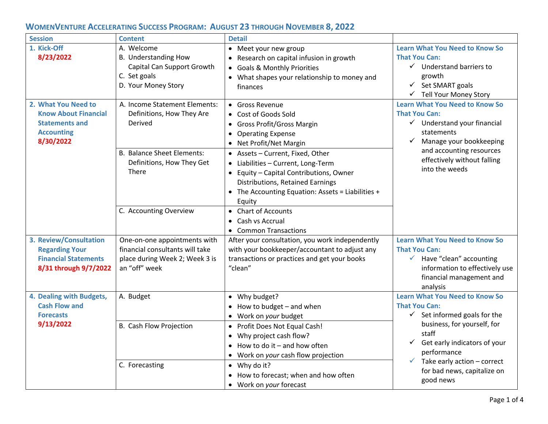| <b>Session</b>                                                                                                | <b>Content</b>                                                                                                     | <b>Detail</b>                                                                                                                                                                                                    |                                                                                                                                                                                                                               |
|---------------------------------------------------------------------------------------------------------------|--------------------------------------------------------------------------------------------------------------------|------------------------------------------------------------------------------------------------------------------------------------------------------------------------------------------------------------------|-------------------------------------------------------------------------------------------------------------------------------------------------------------------------------------------------------------------------------|
| 1. Kick-Off<br>8/23/2022                                                                                      | A. Welcome<br><b>B.</b> Understanding How<br>Capital Can Support Growth<br>C. Set goals<br>D. Your Money Story     | Meet your new group<br>Research on capital infusion in growth<br><b>Goals &amp; Monthly Priorities</b><br>$\bullet$<br>• What shapes your relationship to money and<br>finances                                  | <b>Learn What You Need to Know So</b><br><b>That You Can:</b><br>$\checkmark$ Understand barriers to<br>growth<br>$\checkmark$<br>Set SMART goals<br>√ Tell Your Money Story                                                  |
| 2. What You Need to<br><b>Know About Financial</b><br><b>Statements and</b><br><b>Accounting</b><br>8/30/2022 | A. Income Statement Elements:<br>Definitions, How They Are<br>Derived                                              | • Gross Revenue<br>Cost of Goods Sold<br><b>Gross Profit/Gross Margin</b><br><b>Operating Expense</b><br>$\bullet$<br>Net Profit/Net Margin                                                                      | <b>Learn What You Need to Know So</b><br><b>That You Can:</b><br>$\checkmark$ Understand your financial<br>statements<br>Manage your bookkeeping<br>and accounting resources<br>effectively without falling<br>into the weeds |
|                                                                                                               | <b>B. Balance Sheet Elements:</b><br>Definitions, How They Get<br>There                                            | • Assets - Current, Fixed, Other<br>Liabilities - Current, Long-Term<br>Equity - Capital Contributions, Owner<br>Distributions, Retained Earnings<br>• The Accounting Equation: Assets = Liabilities +<br>Equity |                                                                                                                                                                                                                               |
|                                                                                                               | C. Accounting Overview                                                                                             | • Chart of Accounts<br>Cash vs Accrual<br>$\bullet$<br>• Common Transactions                                                                                                                                     |                                                                                                                                                                                                                               |
| 3. Review/Consultation<br><b>Regarding Your</b><br><b>Financial Statements</b><br>8/31 through 9/7/2022       | One-on-one appointments with<br>financial consultants will take<br>place during Week 2; Week 3 is<br>an "off" week | After your consultation, you work independently<br>with your bookkeeper/accountant to adjust any<br>transactions or practices and get your books<br>"clean"                                                      | <b>Learn What You Need to Know So</b><br><b>That You Can:</b><br>$\checkmark$ Have "clean" accounting<br>information to effectively use<br>financial management and<br>analysis                                               |
| 4. Dealing with Budgets,<br><b>Cash Flow and</b><br><b>Forecasts</b>                                          | A. Budget                                                                                                          | • Why budget?<br>How to budget - and when<br>Work on your budget                                                                                                                                                 | <b>Learn What You Need to Know So</b><br><b>That You Can:</b><br>$\checkmark$ Set informed goals for the                                                                                                                      |
| 9/13/2022                                                                                                     | B. Cash Flow Projection                                                                                            | Profit Does Not Equal Cash!<br>$\bullet$<br>Why project cash flow?<br>$\bullet$<br>How to do it $-$ and how often<br>• Work on your cash flow projection                                                         | business, for yourself, for<br>staff<br>Get early indicators of your<br>$\checkmark$<br>performance<br>Take early action - correct<br>✓<br>for bad news, capitalize on<br>good news                                           |
|                                                                                                               | C. Forecasting                                                                                                     | $\bullet$ Why do it?<br>How to forecast; when and how often<br>Work on your forecast                                                                                                                             |                                                                                                                                                                                                                               |

## **WOMENVENTURE ACCELERATING SUCCESS PROGRAM: AUGUST 23 THROUGH NOVEMBER 8, 2022**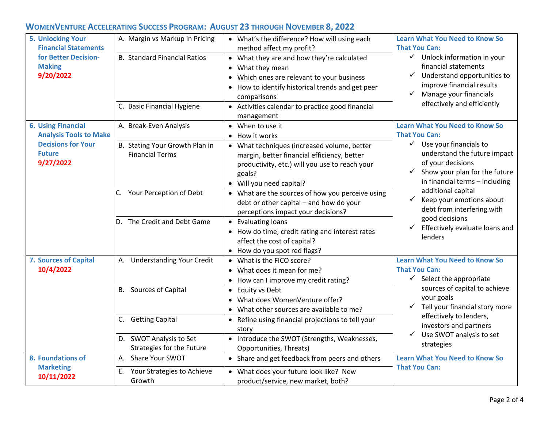## **WOMENVENTURE ACCELERATING SUCCESS PROGRAM: AUGUST 23 THROUGH NOVEMBER 8, 2022**

| <b>5. Unlocking Your</b><br><b>Financial Statements</b><br>for Better Decision-<br><b>Making</b><br>9/20/2022         | A. Margin vs Markup in Pricing<br><b>B. Standard Financial Ratios</b><br>C. Basic Financial Hygiene                     | • What's the difference? How will using each<br>method affect my profit?<br>• What they are and how they're calculated<br>What they mean<br>$\bullet$<br>Which ones are relevant to your business<br>٠<br>How to identify historical trends and get peer<br>comparisons<br>• Activities calendar to practice good financial<br>management                   | <b>Learn What You Need to Know So</b><br><b>That You Can:</b><br>$\checkmark$ Unlock information in your<br>financial statements<br>Understand opportunities to<br>✓<br>improve financial results<br>Manage your financials<br>$\checkmark$<br>effectively and efficiently                                                                                                  |
|-----------------------------------------------------------------------------------------------------------------------|-------------------------------------------------------------------------------------------------------------------------|-------------------------------------------------------------------------------------------------------------------------------------------------------------------------------------------------------------------------------------------------------------------------------------------------------------------------------------------------------------|-----------------------------------------------------------------------------------------------------------------------------------------------------------------------------------------------------------------------------------------------------------------------------------------------------------------------------------------------------------------------------|
| <b>6. Using Financial</b><br><b>Analysis Tools to Make</b><br><b>Decisions for Your</b><br><b>Future</b><br>9/27/2022 | A. Break-Even Analysis<br>B. Stating Your Growth Plan in<br><b>Financial Terms</b>                                      | • When to use it<br>• How it works<br>• What techniques (increased volume, better<br>margin, better financial efficiency, better<br>productivity, etc.) will you use to reach your<br>goals?<br>• Will you need capital?                                                                                                                                    | <b>Learn What You Need to Know So</b><br><b>That You Can:</b><br>$\checkmark$ Use your financials to<br>understand the future impact<br>of your decisions<br>Show your plan for the future<br>in financial terms - including<br>additional capital<br>Keep your emotions about<br>debt from interfering with<br>good decisions<br>Effectively evaluate loans and<br>lenders |
|                                                                                                                       | Your Perception of Debt<br>The Credit and Debt Game<br>D.                                                               | • What are the sources of how you perceive using<br>debt or other capital - and how do your<br>perceptions impact your decisions?<br>• Evaluating loans<br>• How do time, credit rating and interest rates<br>affect the cost of capital?<br>• How do you spot red flags?                                                                                   |                                                                                                                                                                                                                                                                                                                                                                             |
| 7. Sources of Capital<br>10/4/2022                                                                                    | <b>Understanding Your Credit</b><br>А.<br><b>B.</b> Sources of Capital<br>C. Getting Capital<br>D. SWOT Analysis to Set | • What is the FICO score?<br>• What does it mean for me?<br>• How can I improve my credit rating?<br><b>Equity vs Debt</b><br>$\bullet$<br>What does WomenVenture offer?<br>$\bullet$<br>What other sources are available to me?<br>$\bullet$<br>• Refine using financial projections to tell your<br>story<br>• Introduce the SWOT (Strengths, Weaknesses, | <b>Learn What You Need to Know So</b><br><b>That You Can:</b><br>$\checkmark$ Select the appropriate<br>sources of capital to achieve<br>your goals<br>Tell your financial story more<br>$\checkmark$<br>effectively to lenders,<br>investors and partners<br>$\checkmark$<br>Use SWOT analysis to set                                                                      |
| 8. Foundations of<br><b>Marketing</b><br>10/11/2022                                                                   | Strategies for the Future<br>A. Share Your SWOT<br>Your Strategies to Achieve<br>E.<br>Growth                           | Opportunities, Threats)<br>• Share and get feedback from peers and others<br>• What does your future look like? New<br>product/service, new market, both?                                                                                                                                                                                                   | strategies<br><b>Learn What You Need to Know So</b><br><b>That You Can:</b>                                                                                                                                                                                                                                                                                                 |